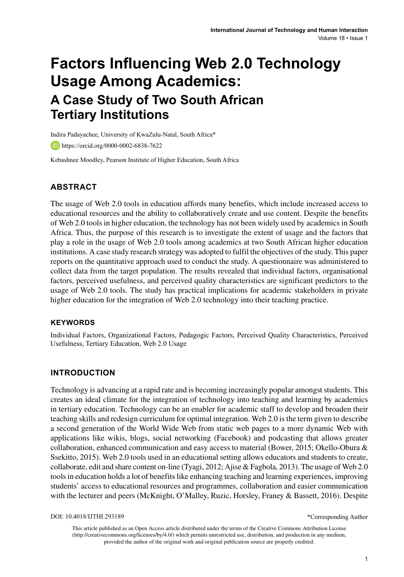# **Factors Influencing Web 2.0 Technology Usage Among Academics: A Case Study of Two South African Tertiary Institutions**

Indira Padayachee, University of KwaZulu-Natal, South Africa\*

https://orcid.org/0000-0002-6838-7622

Kebashnee Moodley, Pearson Institute of Higher Education, South Africa

## **ABSTRACT**

The usage of Web 2.0 tools in education affords many benefits, which include increased access to educational resources and the ability to collaboratively create and use content. Despite the benefits of Web 2.0 tools in higher education, the technology has not been widely used by academics in South Africa. Thus, the purpose of this research is to investigate the extent of usage and the factors that play a role in the usage of Web 2.0 tools among academics at two South African higher education institutions. A case study research strategy was adopted to fulfil the objectives of the study. This paper reports on the quantitative approach used to conduct the study. A questionnaire was administered to collect data from the target population. The results revealed that individual factors, organisational factors, perceived usefulness, and perceived quality characteristics are significant predictors to the usage of Web 2.0 tools. The study has practical implications for academic stakeholders in private higher education for the integration of Web 2.0 technology into their teaching practice.

#### **Keywords**

Individual Factors, Organizational Factors, Pedagogic Factors, Perceived Quality Characteristics, Perceived Usefulness, Tertiary Education, Web 2.0 Usage

#### **INTRODUCTION**

Technology is advancing at a rapid rate and is becoming increasingly popular amongst students. This creates an ideal climate for the integration of technology into teaching and learning by academics in tertiary education. Technology can be an enabler for academic staff to develop and broaden their teaching skills and redesign curriculum for optimal integration. Web 2.0 is the term given to describe a second generation of the World Wide Web from static web pages to a more dynamic Web with applications like wikis, blogs, social networking (Facebook) and podcasting that allows greater collaboration, enhanced communication and easy access to material (Bower, 2015; Okello-Obura & Ssekitto, 2015). Web 2.0 tools used in an educational setting allows educators and students to create, collaborate, edit and share content on-line (Tyagi, 2012; Ajise & Fagbola, 2013). The usage of Web 2.0 tools in education holds a lot of benefits like enhancing teaching and learning experiences, improving students' access to educational resources and programmes, collaboration and easier communication with the lecturer and peers (McKnight, O'Malley, Ruzic, Horsley, Franey & Bassett, 2016). Despite

DOI: 10.4018/IJTHI.293189

\*Corresponding Author

This article published as an Open Access article distributed under the terms of the Creative Commons Attribution License (http://creativecommons.org/licenses/by/4.0/) which permits unrestricted use, distribution, and production in any medium, provided the author of the original work and original publication source are properly credited.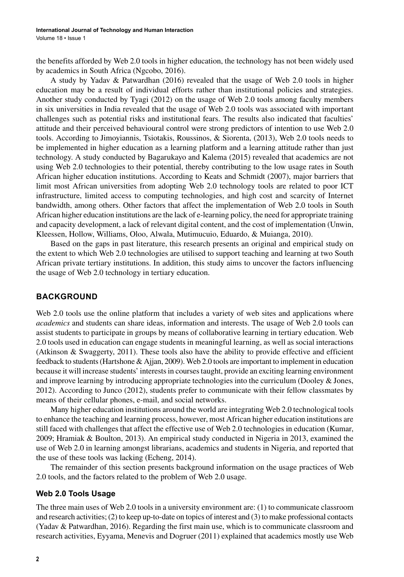the benefits afforded by Web 2.0 tools in higher education, the technology has not been widely used by academics in South Africa (Ngcobo, 2016).

A study by Yadav & Patwardhan (2016) revealed that the usage of Web 2.0 tools in higher education may be a result of individual efforts rather than institutional policies and strategies. Another study conducted by Tyagi (2012) on the usage of Web 2.0 tools among faculty members in six universities in India revealed that the usage of Web 2.0 tools was associated with important challenges such as potential risks and institutional fears. The results also indicated that faculties' attitude and their perceived behavioural control were strong predictors of intention to use Web 2.0 tools. According to Jimoyiannis, Tsiotakis, Roussinos, & Siorenta, (2013), Web 2.0 tools needs to be implemented in higher education as a learning platform and a learning attitude rather than just technology. A study conducted by Bagarukayo and Kalema (2015) revealed that academics are not using Web 2.0 technologies to their potential, thereby contributing to the low usage rates in South African higher education institutions. According to Keats and Schmidt (2007), major barriers that limit most African universities from adopting Web 2.0 technology tools are related to poor ICT infrastructure, limited access to computing technologies, and high cost and scarcity of Internet bandwidth, among others. Other factors that affect the implementation of Web 2.0 tools in South African higher education institutions are the lack of e-learning policy, the need for appropriate training and capacity development, a lack of relevant digital content, and the cost of implementation (Unwin, Kleessen, Hollow, Williams, Oloo, Alwala, Mutimucuio, Eduardo, & Muianga, 2010).

Based on the gaps in past literature, this research presents an original and empirical study on the extent to which Web 2.0 technologies are utilised to support teaching and learning at two South African private tertiary institutions. In addition, this study aims to uncover the factors influencing the usage of Web 2.0 technology in tertiary education.

## **BACKGROUND**

Web 2.0 tools use the online platform that includes a variety of web sites and applications where *academics* and students can share ideas, information and interests. The usage of Web 2.0 tools can assist students to participate in groups by means of collaborative learning in tertiary education. Web 2.0 tools used in education can engage students in meaningful learning, as well as social interactions (Atkinson & Swaggerty, 2011). These tools also have the ability to provide effective and efficient feedback to students (Hartshone & Ajjan, 2009). Web 2.0 tools are important to implement in education because it will increase students' interests in courses taught, provide an exciting learning environment and improve learning by introducing appropriate technologies into the curriculum (Dooley & Jones, 2012). According to Junco (2012), students prefer to communicate with their fellow classmates by means of their cellular phones, e-mail, and social networks.

Many higher education institutions around the world are integrating Web 2.0 technological tools to enhance the teaching and learning process, however, most African higher education institutions are still faced with challenges that affect the effective use of Web 2.0 technologies in education (Kumar, 2009; Hramiak & Boulton, 2013). An empirical study conducted in Nigeria in 2013, examined the use of Web 2.0 in learning amongst librarians, academics and students in Nigeria, and reported that the use of these tools was lacking (Echeng, 2014).

The remainder of this section presents background information on the usage practices of Web 2.0 tools, and the factors related to the problem of Web 2.0 usage.

#### **Web 2.0 Tools Usage**

The three main uses of Web 2.0 tools in a university environment are: (1) to communicate classroom and research activities; (2) to keep up-to-date on topics of interest and (3) to make professional contacts (Yadav & Patwardhan, 2016). Regarding the first main use, which is to communicate classroom and research activities, Eyyama, Menevis and Dogruer (2011) explained that academics mostly use Web